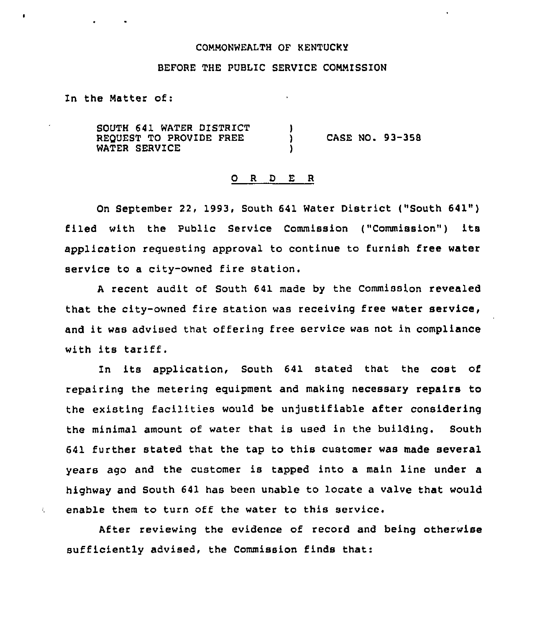## COMMONWEALTH OF KENTUCkY

## BEFORE THE PUBLIC SERVICE COMMISSION

In the Matter of:

 $\mathcal{L}_{\mathcal{L}}$ 

SOUTH 641 WATER DISTRICT REQUEST TO PROVIDE FREE WATER SERVICE )<br>) ) CASE NO. 93-358 )

## 0 <sup>R</sup> <sup>D</sup> E <sup>R</sup>

On September 22, 1993, South 641 Water District ("South 641") filed with the Public Service Commission ("Commission") its application requesting approval to continue to furnish free water service to a city-owned fire station.

<sup>A</sup> recent audit of South 641 made by the Commission revealed that the city-owned fire station was receiving free water service, and it was advised that offering free service was not in compliance with its tariff.

In its application, South 641 stated that the cost of repairing the metering equipment and making necessary repairs to the existing facilities would be unjustifiable after considering the minimal amount of water that is used in the building. South 641 further stated that the tap to this customer was made several years ago and the customer is tapped into a main line under a highway and South 641 has been unable to locate a valve that would enable them to turn off the water to this service.

After reviewing the evidence of record and being otherwise sufficiently advised, the Commission finds that: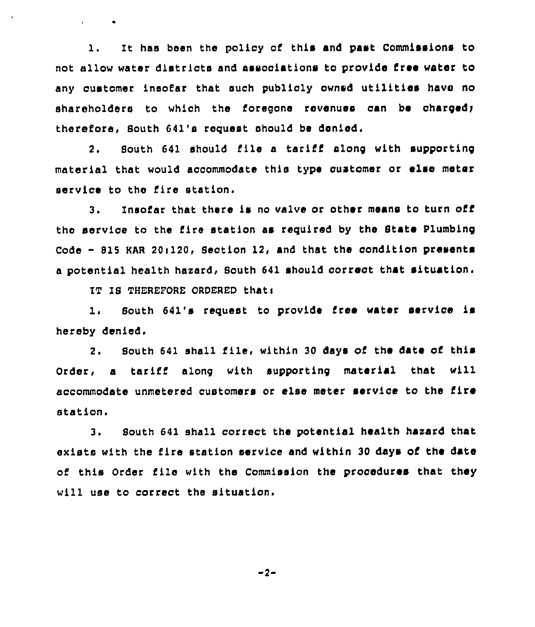It has been the policy of this and past Commissions to  $\mathbf{1}$  . not allow water districts and associations to provide free water to any customer insofar that such publicly owned utilities have no shareholders to which the foregone revenues can be charged; therefore, South 641's request should be denied.

South 641 should file a tariff along with supporting  $2.$ material that would accommodate this type customer or else meter service to the fire station.

Insofar that there is no valve or other means to turn off 3. the service to the fire station as required by the State Plumbing Code - 815 KAR 20:120, Section 12, and that the condition presents a potential health hazard, South 641 should correct that situation.

IT IS THEREFORE ORDERED that:

**Contractor** 

South 641's request to provide free water service is  $1.$ hereby denied.

2. South 641 shall file, within 30 days of the date of this Order, a tariff along with supporting material that will accommodate unmetered customers or else meter service to the fire station.

South 641 shall correct the potential health hazard that  $3.$ exists with the fire station service and within 30 days of the date of this Order file with the Commission the procedures that they will use to correct the situation.

 $-2-$